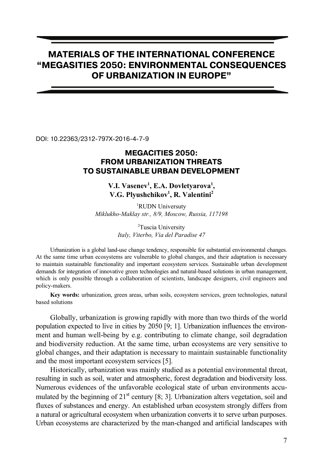# **MATERIALS OF THE INTERNATIONAL CONFERENCE "MEGASITIES 2050: ENVIR RONMENTAL CONSEQUENCES OF URBANIZA ATION IN EUROPE"**

DOI: 10.22363/2312-797X-2016-4-7-9

## **MEGAC CITIES 2050: FROM URBAN NIZATION THREATS TO SUSTAINABLE U URBAN DEVELOPMENT**

### V.I. Vasenev<sup>1</sup>, E.A. Dovletyarova<sup>1</sup>, **V.G. Plyushch hikov1 , R. Valentini2**

<sup>1</sup>RUDN Universuty *Miklukho-Maklay str., 8/9, Moscow, Russia, 117198* 

> <sup>2</sup>Tuscia University *Italy, Viterbo, Via del Paradise 47*

Urbanization is a global land-use change tendency, responsible for substantial environmental changes. At the same time urban ecosystems are vulnerable to global changes, and their adaptation is necessary to maintain sustainable functionality and important ecosystem services. Sustainable urban development demands for integration of innovative green technologies and natural-based solutions in urban management, which is only possible through a collaboration of scientists, landscape designers, civil engineers and policy-makers.

Key words: urbanization, green areas, urban soils, ecosystem services, green technologies, natural based solutions

Globally, urbanization is growing rapidly with more than two thirds of the world population expected to live in cities by 20 050 [9; 1]. Urbanization influences the environment and human well-being by e.g. contributing to climate change, soil degradation and biodiversity reduction. At the same time, urban ecosystems are very sensitive to global changes, and their adaptation is n necessary to maintain sustainable functionality and the most important ecosystem services [5].

Historically, urbanization was mainly studied as a potential environmental threat, resulting in such as soil, water and atmospheric, forest degradation and biodiversity loss. Numerous evidences of the unfavorable e ecological state of urban environments accumulated by the beginning of  $21<sup>st</sup>$  century [8; 3]. Urbanization alters vegetation, soil and fluxes of substances and energy. An established urban ecosystem strongly differs from a natural or agricultural ecosystem when urbanization converts it to serve urban purposes. Urban ecosystems are characterized by the man-changed and artificial landscapes with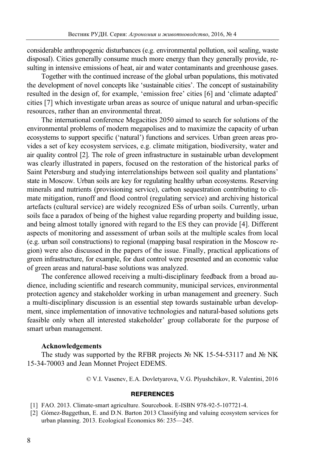considerable anthropogenic disturbances (e.g. environmental pollution, soil sealing, waste disposal). Cities generally consume much more energy than they generally provide, resulting in intensive emissions of heat, air and water contaminants and greenhouse gases.

Together with the continued increase of the global urban populations, this motivated the development of novel concepts like 'sustainable cities'. The concept of sustainability resulted in the design of, for example, 'emission free' cities [6] and 'climate adapted' cities [7] which investigate urban areas as source of unique natural and urban-specific resources, rather than an environmental threat.

The international conference Megacities 2050 aimed to search for solutions of the environmental problems of modern megapolises and to maximize the capacity of urban ecosystems to support specific ('natural') functions and services. Urban green areas provides a set of key ecosystem services, e.g. climate mitigation, biodiversity, water and air quality control [2]. The role of green infrastructure in sustainable urban development was clearly illustrated in papers, focused on the restoration of the historical parks of Saint Petersburg and studying interrelationships between soil quality and plantations' state in Moscow. Urban soils are key for regulating healthy urban ecosystems. Reserving minerals and nutrients (provisioning service), carbon sequestration contributing to climate mitigation, runoff and flood control (regulating service) and archiving historical artefacts (cultural service) are widely recognized ESs of urban soils. Currently, urban soils face a paradox of being of the highest value regarding property and building issue, and being almost totally ignored with regard to the ES they can provide [4]. Different aspects of monitoring and assessment of urban soils at the multiple scales from local (e.g. urban soil constructions) to regional (mapping basal respiration in the Moscow region) were also discussed in the papers of the issue. Finally, practical applications of green infrastructure, for example, for dust control were presented and an economic value of green areas and natural-base solutions was analyzed.

The conference allowed receiving a multi-disciplinary feedback from a broad audience, including scientific and research community, municipal services, environmental protection agency and stakeholder working in urban management and greenery. Such a multi-disciplinary discussion is an essential step towards sustainable urban development, since implementation of innovative technologies and natural-based solutions gets feasible only when all interested stakeholder' group collaborate for the purpose of smart urban management.

#### **Acknowledgements**

The study was supported by the RFBR projects № NK 15-54-53117 and № NK 15-34-70003 and Jean Monnet Project EDEMS.

© V.I. Vasenev, E.A. Dovletyarova, V.G. Plyushchikov, R. Valentini, 2016

#### **REFERENCES**

- [1] FAO. 2013. Climate-smart agriculture. Sourcebook. E-ISBN 978-92-5-107721-4.
- [2] Gómez-Baggethun, E. and D.N. Barton 2013 Classifying and valuing ecosystem services for urban planning. 2013. Ecological Economics 86: 235—245.